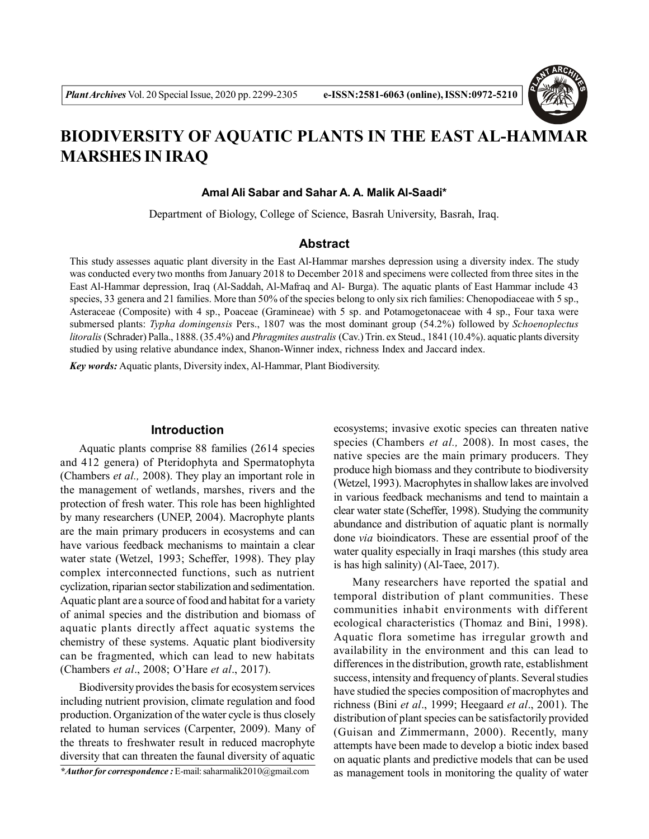

# **BIODIVERSITY OF AQUATIC PLANTS IN THE EAST AL-HAMMAR MARSHES IN IRAQ**

#### **Amal Ali Sabar and Sahar A. A. Malik Al-Saadi\***

Department of Biology, College of Science, Basrah University, Basrah, Iraq.

#### **Abstract**

This study assesses aquatic plant diversity in the East Al-Hammar marshes depression using a diversity index. The study was conducted every two months from January 2018 to December 2018 and specimens were collected from three sites in the East Al-Hammar depression, Iraq (Al-Saddah, Al-Mafraq and Al- Burga). The aquatic plants of East Hammar include 43 species, 33 genera and 21 families. More than 50% of the species belong to only six rich families: Chenopodiaceae with 5 sp., Asteraceae (Composite) with 4 sp., Poaceae (Gramineae) with 5 sp. and Potamogetonaceae with 4 sp., Four taxa were submersed plants: *Typha domingensis* Pers., 1807 was the most dominant group (54.2%) followed by *Schoenoplectus litoralis* (Schrader) Palla., 1888.(35.4%) and *Phragmites australis* (Cav.) Trin. ex Steud., 1841 (10.4%). aquatic plants diversity studied by using relative abundance index, Shanon-Winner index, richness Index and Jaccard index.

*Key words:* Aquatic plants, Diversity index, Al-Hammar, Plant Biodiversity.

#### **Introduction**

Aquatic plants comprise 88 families (2614 species and 412 genera) of Pteridophyta and Spermatophyta (Chambers *et al.,* 2008). They play an important role in the management of wetlands, marshes, rivers and the protection of fresh water. This role has been highlighted by many researchers (UNEP, 2004). Macrophyte plants are the main primary producers in ecosystems and can have various feedback mechanisms to maintain a clear water state (Wetzel, 1993; Scheffer, 1998). They play complex interconnected functions, such as nutrient cyclization, riparian sector stabilization and sedimentation. Aquatic plant are a source of food and habitat for a variety of animal species and the distribution and biomass of aquatic plants directly affect aquatic systems the chemistry of these systems. Aquatic plant biodiversity can be fragmented, which can lead to new habitats (Chambers *et al*., 2008; O'Hare *et al*., 2017).

Biodiversity provides the basis for ecosystem services including nutrient provision, climate regulation and food production. Organization of the water cycle is thus closely related to human services (Carpenter, 2009). Many of the threats to freshwater result in reduced macrophyte diversity that can threaten the faunal diversity of aquatic

*\*Author for correspondence :* E-mail: saharmalik2010@gmail.com

ecosystems; invasive exotic species can threaten native species (Chambers *et al.,* 2008). In most cases, the native species are the main primary producers. They produce high biomass and they contribute to biodiversity (Wetzel, 1993). Macrophytes in shallow lakes are involved in various feedback mechanisms and tend to maintain a clear water state (Scheffer, 1998). Studying the community abundance and distribution of aquatic plant is normally done *via* bioindicators. These are essential proof of the water quality especially in Iraqi marshes (this study area is has high salinity) (Al-Taee, 2017).

Many researchers have reported the spatial and temporal distribution of plant communities. These communities inhabit environments with different ecological characteristics (Thomaz and Bini, 1998). Aquatic flora sometime has irregular growth and availability in the environment and this can lead to differences in the distribution, growth rate, establishment success, intensity and frequency of plants. Several studies have studied the species composition of macrophytes and richness (Bini *et al*., 1999; Heegaard *et al*., 2001). The distribution of plant species can be satisfactorily provided (Guisan and Zimmermann, 2000). Recently, many attempts have been made to develop a biotic index based on aquatic plants and predictive models that can be used as management tools in monitoring the quality of water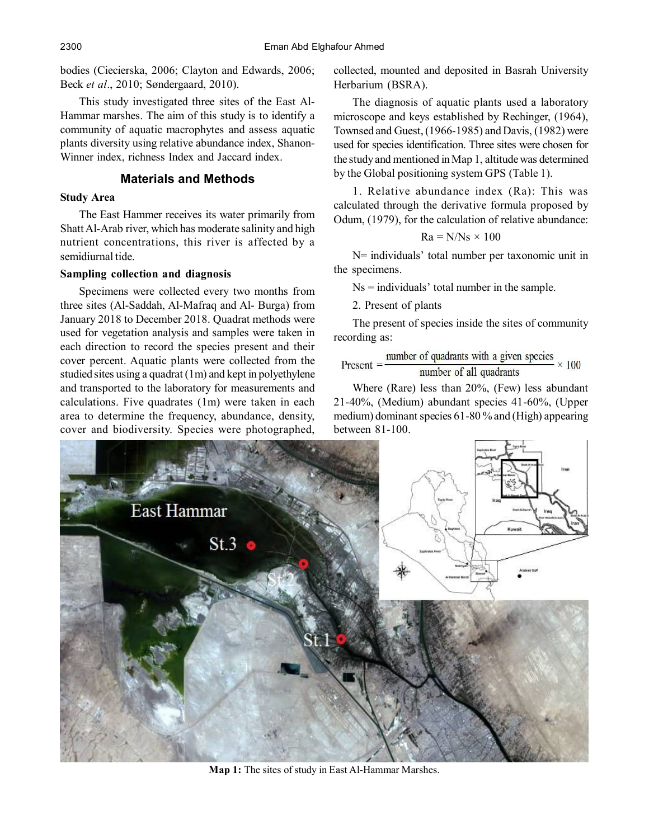bodies (Ciecierska, 2006; Clayton and Edwards, 2006; Beck *et al*., 2010; Søndergaard, 2010).

This study investigated three sites of the East Al-Hammar marshes. The aim of this study is to identify a community of aquatic macrophytes and assess aquatic plants diversity using relative abundance index, Shanon-Winner index, richness Index and Jaccard index.

## **Materials and Methods**

#### **Study Area**

The East Hammer receives its water primarily from Shatt Al-Arab river, which has moderate salinity and high nutrient concentrations, this river is affected by a semidiurnal tide.

## **Sampling collection and diagnosis**

Specimens were collected every two months from three sites (Al-Saddah, Al-Mafraq and Al- Burga) from January 2018 to December 2018. Quadrat methods were used for vegetation analysis and samples were taken in each direction to record the species present and their cover percent. Aquatic plants were collected from the studied sites using a quadrat (1m) and kept in polyethylene and transported to the laboratory for measurements and calculations. Five quadrates (1m) were taken in each area to determine the frequency, abundance, density, cover and biodiversity. Species were photographed,

collected, mounted and deposited in Basrah University Herbarium (BSRA).

The diagnosis of aquatic plants used a laboratory microscope and keys established by Rechinger, (1964), Townsed and Guest, (1966-1985) and Davis, (1982) were used for species identification. Three sites were chosen for the study and mentioned in Map 1, altitude was determined by the Global positioning system GPS (Table 1).

1. Relative abundance index (Ra): This was calculated through the derivative formula proposed by Odum, (1979), for the calculation of relative abundance:

$$
Ra = N/Ns \times 100
$$

N= individuals' total number per taxonomic unit in the specimens.

Ns = individuals' total number in the sample.

2. Present of plants

The present of species inside the sites of community recording as:

$$
Present = \frac{number\ of\ quadrants\ with\ a\ given\ species}{number\ of\ all\ quadrants} \times 100
$$

Where (Rare) less than 20%, (Few) less abundant 21-40%, (Medium) abundant species 41-60%, (Upper medium) dominant species 61-80 % and (High) appearing between 81-100.



**Map 1:** The sites of study in East Al-Hammar Marshes.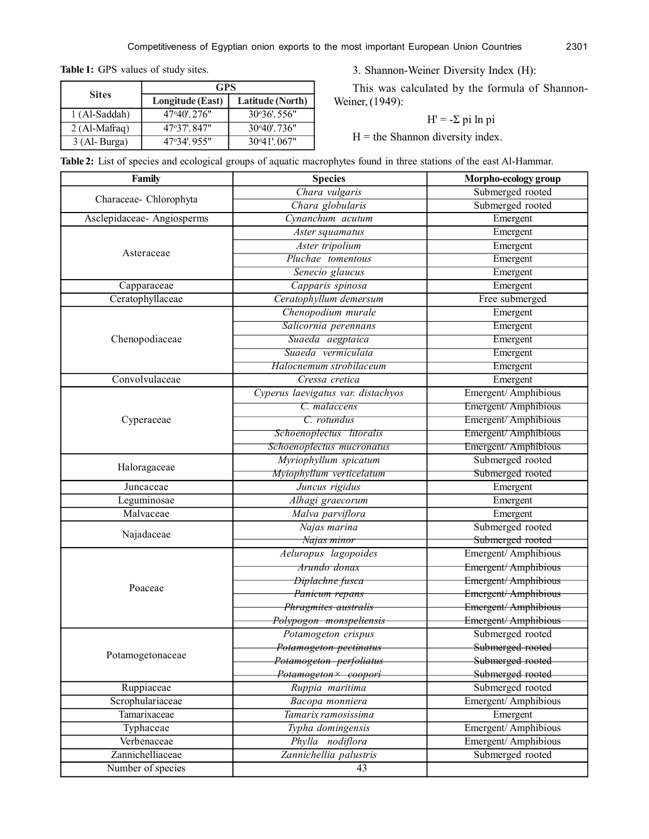**Table 1:** GPS values of study sites.

**Sites**

3. Shannon-Weiner Diversity Index (H):

This was calculated by the formula of Shannon-Weiner, (1949):

$$
H' = -\Sigma \pi \ln \pi
$$

 $H =$  the Shannon diversity index.

|  | Table 2: List of species and ecological groups of aquatic macrophytes found in three stations of the east Al-Hammar. |  |  |  |  |  |  |  |  |
|--|----------------------------------------------------------------------------------------------------------------------|--|--|--|--|--|--|--|--|
|--|----------------------------------------------------------------------------------------------------------------------|--|--|--|--|--|--|--|--|

 **GPS Longitude (East) Latitude (North)**

1 (Al-Saddah) 47°40'. 276" 30°36'. 556" 2 (Al-Mafraq) 47°37'.847" 30°40'.736" 3 (Al- Burga) 47°34'. 955" 30°41'. 067"

| Family                    | <b>Species</b>                     | Morpho-ecology group |  |  |
|---------------------------|------------------------------------|----------------------|--|--|
|                           | Chara vulgaris                     | Submerged rooted     |  |  |
| Characeae- Chlorophyta    | Chara globularis                   | Submerged rooted     |  |  |
| Asclepidaceae-Angiosperms | Cynanchum acutum                   | Emergent             |  |  |
|                           | Aster squamatus                    | Emergent             |  |  |
|                           | Aster tripolium                    | Emergent             |  |  |
| Asteraceae                | Pluchae tomentous                  | Emergent             |  |  |
|                           | Senecio glaucus                    | Emergent             |  |  |
| Capparaceae               | Capparis spinosa                   | Emergent             |  |  |
| Ceratophyllaceae          | Ceratophyllum demersum             | Free submerged       |  |  |
|                           | Chenopodium murale                 | Emergent             |  |  |
|                           | Salicornia perennans               | Emergent             |  |  |
| Chenopodiaceae            | Suaeda aegptaica                   | Emergent             |  |  |
|                           | Suaeda vermiculata                 | Emergent             |  |  |
|                           | Halocnemum strobilaceum            | Emergent             |  |  |
| Convolvulaceae            | Cressa cretica                     | Emergent             |  |  |
|                           | Cyperus laevigatus var. distachyos | Emergent/Amphibious  |  |  |
|                           | C. malaccens                       | Emergent/Amphibious  |  |  |
| Cyperaceae                | C. rotundus                        | Emergent/Amphibious  |  |  |
|                           | Schoenoplectus litoralis           | Emergent/Amphibious  |  |  |
|                           | Schoenoplectus mucronatus          | Emergent/Amphibious  |  |  |
|                           | Myriophyllum spicatum              | Submerged rooted     |  |  |
| Haloragaceae              | Myiophyllum verticelatum           | Submerged rooted     |  |  |
| Juncaceae                 | Juncus rigidus                     | Emergent             |  |  |
| Leguminosae               | Alhagi graecorum                   | Emergent             |  |  |
| Malvaceae                 | Malva parviflora                   | Emergent             |  |  |
|                           | Najas marina                       | Submerged rooted     |  |  |
| Najadaceae                | Najas minor                        | Submerged rooted     |  |  |
|                           | Aeluropus lagopoides               | Emergent/Amphibious  |  |  |
|                           | Arundo donax                       | Emergent/Amphibious  |  |  |
| Poaceae                   | Diplachne fusca                    | Emergent/Amphibious  |  |  |
|                           | Panicum repans                     | Emergent/Amphibious  |  |  |
|                           | Phragmites australis               | Emergent/Amphibious  |  |  |
|                           | Polypogon monspeliensis            | Emergent/Amphibious  |  |  |
|                           | Potamogeton crispus                | Submerged rooted     |  |  |
| Potamogetonaceae          | Potamogeton pectinatus             | Submerged rooted     |  |  |
|                           | Potamogeton perfoliatus            | Submerged rooted     |  |  |
|                           | Potamogeton× coopori               | Submerged rooted     |  |  |
| Ruppiaceae                | Ruppia maritima                    | Submerged rooted     |  |  |
| Scrophulariaceae          | Bacopa monniera                    | Emergent/Amphibious  |  |  |
| Tamarixaceae              | Tamarix ramosissima                | Emergent             |  |  |
| Typhaceae                 | Typha domingensis                  | Emergent/Amphibious  |  |  |
| Verbenaceae               | Phylla nodiflora                   | Emergent/Amphibious  |  |  |
| Zannichelliaceae          | Zannichellia palustris             | Submerged rooted     |  |  |
| Number of species         | 43                                 |                      |  |  |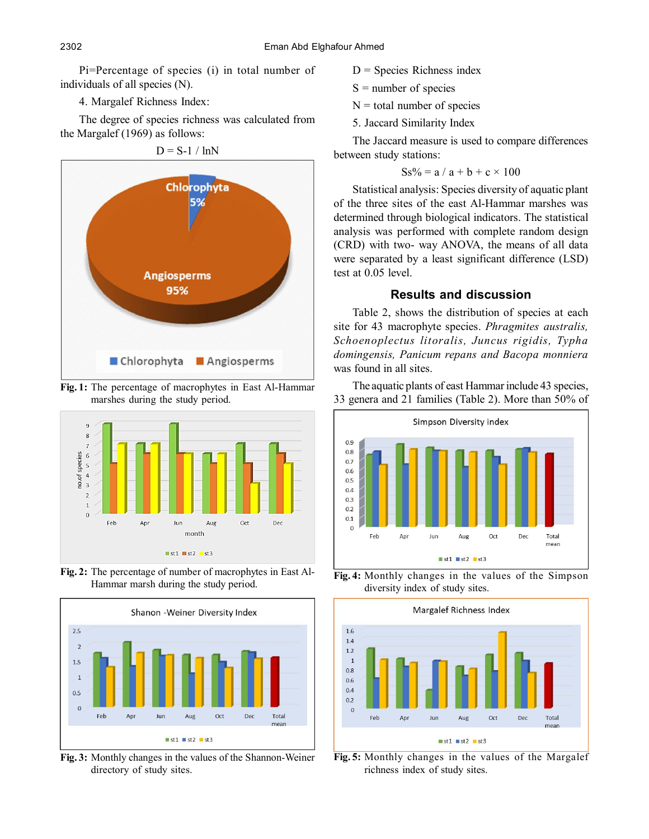Pi=Percentage of species (i) in total number of individuals of all species (N).

4. Margalef Richness Index:

The degree of species richness was calculated from the Margalef (1969) as follows:

 $D = S-1 / lnN$ 



**Fig. 1:** The percentage of macrophytes in East Al-Hammar marshes during the study period.



**Fig. 2:** The percentage of number of macrophytes in East Al-Hammar marsh during the study period.



**Fig. 3:** Monthly changes in the values of the Shannon-Weiner directory of study sites.

- $D =$  Species Richness index
- $S =$  number of species
- $N =$  total number of species
- 5. Jaccard Similarity Index

The Jaccard measure is used to compare differences between study stations:

$$
Ss\% = a / a + b + c \times 100
$$

Statistical analysis: Species diversity of aquatic plant of the three sites of the east Al-Hammar marshes was determined through biological indicators. The statistical analysis was performed with complete random design (CRD) with two- way ANOVA, the means of all data were separated by a least significant difference (LSD) test at 0.05 level.

## **Results and discussion**

Table 2, shows the distribution of species at each site for 43 macrophyte species. *Phragmites australis, Schoenoplectus litoralis, Juncus rigidis, Typha domingensis, Panicum repans and Bacopa monniera* was found in all sites.

The aquatic plants of east Hammar include 43 species, 33 genera and 21 families (Table 2). More than 50% of



**Fig. 4:** Monthly changes in the values of the Simpson diversity index of study sites.



**Fig. 5:** Monthly changes in the values of the Margalef richness index of study sites.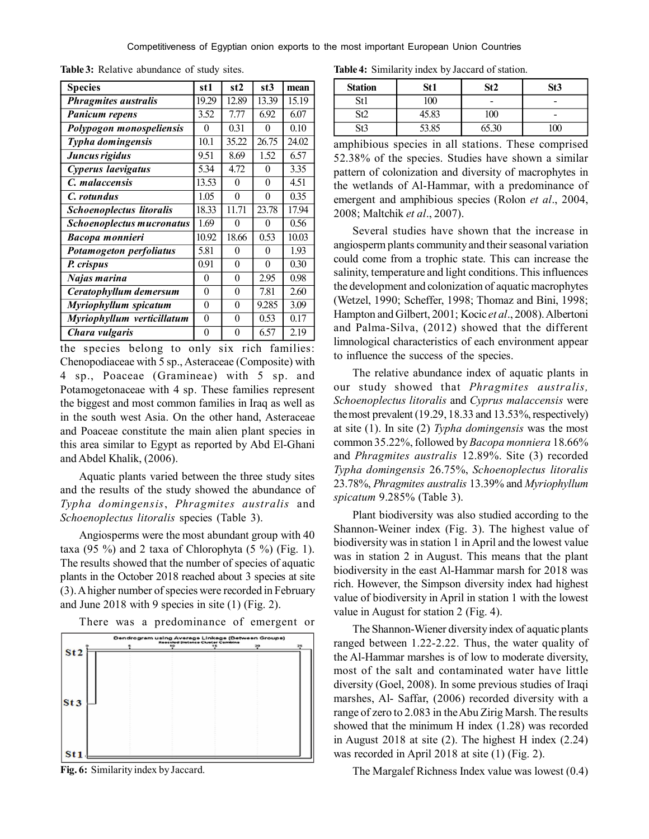| <b>Species</b>              | st 1     | st2   | st3      | mean  |
|-----------------------------|----------|-------|----------|-------|
| <b>Phragmites australis</b> | 19.29    | 12.89 | 13.39    | 15.19 |
| <b>Panicum repens</b>       | 3.52     | 7.77  | 6.92     | 6.07  |
| Polypogon monospeliensis    | 0        | 0.31  | 0        | 0.10  |
| Typha domingensis           | 10.1     | 35.22 | 26.75    | 24.02 |
| Juncus rigidus              | 9.51     | 8.69  | 1.52     | 6.57  |
| Cyperus laevigatus          | 5.34     | 4.72  | 0        | 3.35  |
| C. malaccensis              | 13.53    | 0     | 0        | 4.51  |
| C. rotundus                 | 1.05     | 0     | 0        | 0.35  |
| Schoenoplectus litoralis    | 18.33    | 11.71 | 23.78    | 17.94 |
| Schoenoplectus mucronatus   | 1.69     | 0     | 0        | 0.56  |
| Bacopa monnieri             | 10.92    | 18.66 | 0.53     | 10.03 |
| Potamogeton perfoliatus     | 5.81     | 0     | 0        | 1.93  |
| P. crispus                  | 0.91     | 0     | $\theta$ | 0.30  |
| Najas marina                | $\theta$ | 0     | 2.95     | 0.98  |
| Ceratophyllum demersum      | $\theta$ | 0     | 7.81     | 2.60  |
| Myriophyllum spicatum       | $\theta$ | 0     | 9.285    | 3.09  |
| Myriophyllum verticillatum  | $\theta$ | 0     | 0.53     | 0.17  |
| Chara vulgaris              | 0        | 0     | 6.57     | 2.19  |

**Table 3:** Relative abundance of study sites.

the species belong to only six rich families: Chenopodiaceae with 5 sp., Asteraceae (Composite) with 4 sp., Poaceae (Gramineae) with 5 sp. and Potamogetonaceae with 4 sp. These families represent the biggest and most common families in Iraq as well as in the south west Asia. On the other hand, Asteraceae and Poaceae constitute the main alien plant species in this area similar to Egypt as reported by Abd El-Ghani and Abdel Khalik, (2006).

Aquatic plants varied between the three study sites and the results of the study showed the abundance of *Typha domingensis*, *Phragmites australis* and *Schoenoplectus litoralis* species (Table 3).

Angiosperms were the most abundant group with 40 taxa (95 %) and 2 taxa of Chlorophyta (5 %) (Fig. 1). The results showed that the number of species of aquatic plants in the October 2018 reached about 3 species at site (3). A higher number of species were recorded in February and June 2018 with 9 species in site (1) (Fig. 2).

There was a predominance of emergent or



**Fig. 6:** Similarity index by Jaccard.

**Table 4:** Similarity index by Jaccard of station.

| <b>Station</b> | St1   | St2                      | St3                      |
|----------------|-------|--------------------------|--------------------------|
| St1            | 100   | $\overline{\phantom{0}}$ | $\overline{\phantom{0}}$ |
| St2            | 45.83 | 100                      | $\overline{\phantom{0}}$ |
| 513            | 53.85 | 65.30                    |                          |

amphibious species in all stations. These comprised 52.38% of the species. Studies have shown a similar pattern of colonization and diversity of macrophytes in the wetlands of Al-Hammar, with a predominance of emergent and amphibious species (Rolon *et al*., 2004, 2008; Maltchik *et al*., 2007).

Several studies have shown that the increase in angiosperm plants community and their seasonal variation could come from a trophic state. This can increase the salinity, temperature and light conditions. This influences the development and colonization of aquatic macrophytes (Wetzel, 1990; Scheffer, 1998; Thomaz and Bini, 1998; Hampton and Gilbert, 2001; Kocic *et al*., 2008). Albertoni and Palma-Silva, (2012) showed that the different limnological characteristics of each environment appear to influence the success of the species.

The relative abundance index of aquatic plants in our study showed that *Phragmites australis, Schoenoplectus litoralis* and *Cyprus malaccensis* were the most prevalent (19.29, 18.33 and 13.53%, respectively) at site (1). In site (2) *Typha domingensis* was the most common 35.22%, followed by *Bacopa monniera* 18.66% and *Phragmites australis* 12.89%. Site (3) recorded *Typha domingensis* 26.75%, *Schoenoplectus litoralis* 23.78%, *Phragmites australis* 13.39% and *Myriophyllum spicatum* 9.285% (Table 3).

Plant biodiversity was also studied according to the Shannon-Weiner index (Fig. 3). The highest value of biodiversity was in station 1 in April and the lowest value was in station 2 in August. This means that the plant biodiversity in the east Al-Hammar marsh for 2018 was rich. However, the Simpson diversity index had highest value of biodiversity in April in station 1 with the lowest value in August for station 2 (Fig. 4).

The Shannon-Wiener diversity index of aquatic plants ranged between 1.22-2.22. Thus, the water quality of the Al-Hammar marshes is of low to moderate diversity, most of the salt and contaminated water have little diversity (Goel, 2008). In some previous studies of Iraqi marshes, Al- Saffar, (2006) recorded diversity with a range of zero to 2.083 in the Abu Zirig Marsh. The results showed that the minimum H index (1.28) was recorded in August 2018 at site (2). The highest H index (2.24) was recorded in April 2018 at site (1) (Fig. 2).

The Margalef Richness Index value was lowest (0.4)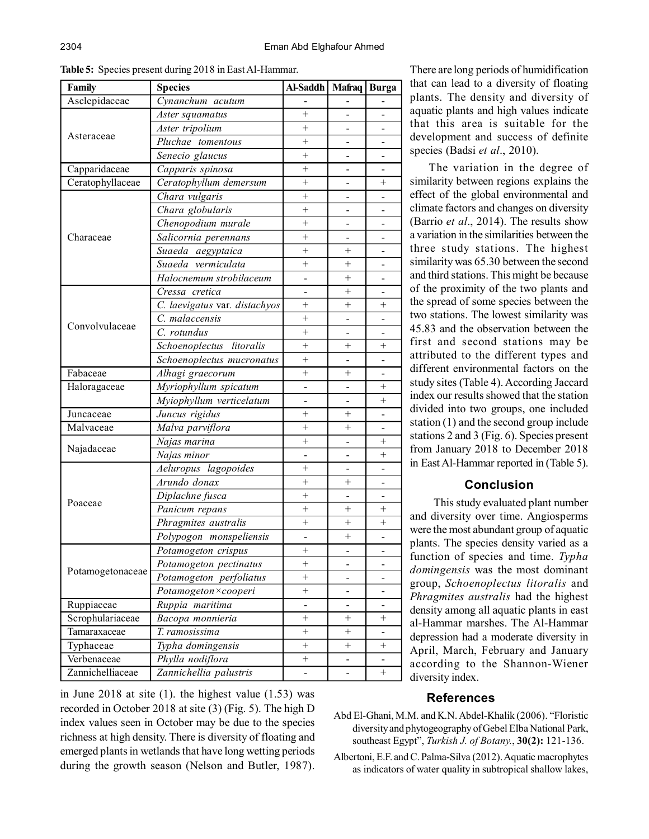| Family           | <b>Species</b>                | Al-Saddh       | Mafraq   Burga     |                              |
|------------------|-------------------------------|----------------|--------------------|------------------------------|
| Asclepidaceae    | Cynanchum acutum              |                |                    |                              |
|                  | Aster squamatus               | $\overline{+}$ |                    |                              |
|                  | Aster tripolium               | $^{+}$         |                    |                              |
| Asteraceae       | Pluchae tomentous             | $^{+}$         |                    |                              |
|                  | Senecio glaucus               | $^{+}$         |                    |                              |
| Capparidaceae    | Capparis spinosa              | $\ddot{}$      |                    |                              |
| Ceratophyllaceae | Ceratophyllum demersum        | $^{+}$         |                    | $^{+}$                       |
|                  | Chara vulgaris                | $\overline{+}$ |                    | -                            |
|                  | Chara globularis              | $^{+}$         |                    | $\blacksquare$               |
|                  | Chenopodium murale            | $^{+}$         |                    | $\qquad \qquad \blacksquare$ |
| Characeae        | Salicornia perennans          | $^{+}$         |                    | $\overline{\phantom{0}}$     |
|                  | Suaeda aegyptaica             | $^{+}$         | $^{+}$             |                              |
|                  | Suaeda vermiculata            | $^{+}$         | $^{+}$             |                              |
|                  | Halocnemum strobilaceum       |                | $^{+}$             |                              |
|                  | Cressa cretica                |                | $+$                |                              |
|                  | C. laevigatus var. distachyos | $^{+}$         | $+$                | $+$                          |
|                  | C. malaccensis                | $^{+}$         |                    | $\blacksquare$               |
| Convolvulaceae   | C. rotundus                   | $^{+}$         |                    |                              |
|                  | Schoenoplectus litoralis      | $^{+}$         | $^{+}$             | $^{+}$                       |
|                  | Schoenoplectus mucronatus     | $^{+}$         |                    |                              |
| Fabaceae         | Alhagi graecorum              | $^{+}$         | $+$                |                              |
| Haloragaceae     | Myriophyllum spicatum         | $\overline{a}$ |                    | $+$                          |
|                  | Myiophyllum verticelatum      |                |                    | $^{+}$                       |
| Juncaceae        | Juncus rigidus                | $\overline{+}$ | $+$                | $\overline{\phantom{0}}$     |
| Malvaceae        | Malva parviflora              | $^{+}$         | $^{+}$             | $\overline{\phantom{0}}$     |
|                  | Najas marina                  | $^{+}$         |                    | $+$                          |
| Najadaceae       | Najas minor                   |                |                    | $^{+}$                       |
|                  | Aeluropus lagopoides          | $^{+}$         |                    |                              |
|                  | Arundo donax                  | $^{+}$         | $^+$               |                              |
|                  | Diplachne fusca               | $^{+}$         |                    |                              |
| Poaceae          | Panicum repans                | $^{+}$         | $^{+}$             | $^{+}$                       |
|                  | Phragmites australis          | $^{+}$         | $\hspace{0.1mm} +$ | $^{+}$                       |
|                  | Polypogon monspeliensis       | -              | $^{+}$             |                              |
|                  | Potamogeton crispus           | $^{+}$         |                    |                              |
|                  | Potamogeton pectinatus        | $^{+}$         |                    |                              |
| Potamogetonaceae | Potamogeton perfoliatus       | $^{+}$         |                    |                              |
|                  | Potamogeton × cooperi         | $^{+}$         |                    |                              |
| Ruppiaceae       | Ruppia maritima               |                |                    | $\overline{\phantom{0}}$     |
| Scrophulariaceae | Bacopa monnieria              | $^{+}$         | $^{+}$             | $^{+}$                       |
| Tamaraxaceae     | T. ramosissima                | $^{+}$         | $^{+}$             |                              |
| Typhaceae        | Typha domingensis             | $+$            | $^{+}$             | $^{+}$                       |
| Verbenaceae      | Phylla nodiflora              | $^{+}$         |                    |                              |
| Zannichelliaceae | Zannichellia palustris        |                |                    | $\ddot{}$                    |

**Table 5:** Species present during 2018 in East Al-Hammar.

in June  $2018$  at site  $(1)$ . the highest value  $(1.53)$  was recorded in October 2018 at site (3) (Fig. 5). The high D index values seen in October may be due to the species richness at high density. There is diversity of floating and emerged plants in wetlands that have long wetting periods during the growth season (Nelson and Butler, 1987).

There are long periods of humidification that can lead to a diversity of floating plants. The density and diversity of aquatic plants and high values indicate that this area is suitable for the development and success of definite species (Badsi *et al*., 2010).

The variation in the degree of similarity between regions explains the effect of the global environmental and climate factors and changes on diversity (Barrio *et al*., 2014). The results show a variation in the similarities between the three study stations. The highest similarity was 65.30 between the second and third stations. This might be because of the proximity of the two plants and the spread of some species between the two stations. The lowest similarity was 45.83 and the observation between the first and second stations may be attributed to the different types and different environmental factors on the study sites (Table 4). According Jaccard index our results showed that the station divided into two groups, one included station (1) and the second group include stations 2 and 3 (Fig. 6). Species present from January 2018 to December 2018 in East Al-Hammar reported in (Table 5).

# **Conclusion**

 This study evaluated plant number and diversity over time. Angiosperms were the most abundant group of aquatic plants. The species density varied as a function of species and time. *Typha domingensis* was the most dominant group, *Schoenoplectus litoralis* and *Phragmites australis* had the highest density among all aquatic plants in east al-Hammar marshes. The Al-Hammar depression had a moderate diversity in April, March, February and January according to the Shannon-Wiener diversity index.

# **References**

- Abd El-Ghani, M.M. and K.N. Abdel-Khalik (2006). "Floristic diversity and phytogeography of Gebel Elba National Park, southeast Egypt", *Turkish J. of Botany.*, **30(2):** 121-136.
- Albertoni, E.F. and C. Palma-Silva (2012). Aquatic macrophytes as indicators of water quality in subtropical shallow lakes,